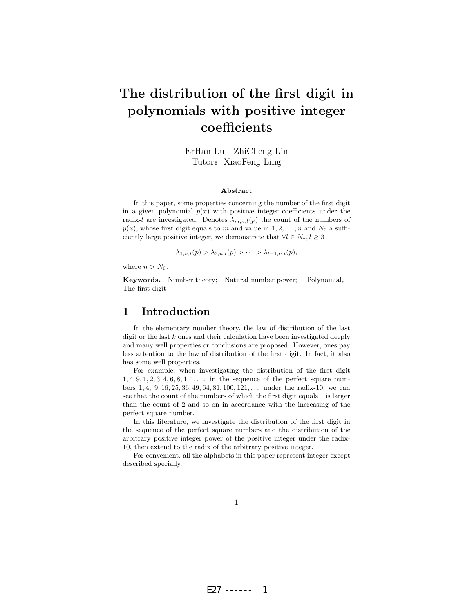# The distribution of the first digit in polynomials with positive integer coefficients

ErHan Lu ZhiCheng Lin Tutor: XiaoFeng Ling

#### Abstract

In this paper, some properties concerning the number of the first digit in a given polynomial  $p(x)$  with positive integer coefficients under the radix-l are investigated. Denotes  $\lambda_{m,n,l}(p)$  the count of the numbers of  $p(x)$ , whose first digit equals to m and value in  $1, 2, \ldots, n$  and  $N_0$  a sufficiently large positive integer, we demonstrate that  $\forall l \in N_*, l \geq 3$ 

$$
\lambda_{1,n,l}(p) > \lambda_{2,n,l}(p) > \cdots > \lambda_{l-1,n,l}(p),
$$

where  $n > N_0$ .

Keywords: Number theory; Natural number power; Polynomial; The first digit

#### 1 Introduction

In the elementary number theory, the law of distribution of the last digit or the last  $k$  ones and their calculation have been investigated deeply and many well properties or conclusions are proposed. However, ones pay less attention to the law of distribution of the first digit. In fact, it also has some well properties.

For example, when investigating the distribution of the first digit  $1, 4, 9, 1, 2, 3, 4, 6, 8, 1, 1, \ldots$  in the sequence of the perfect square numbers  $1, 4, 9, 16, 25, 36, 49, 64, 81, 100, 121, \ldots$  under the radix-10, we can see that the count of the numbers of which the first digit equals 1 is larger than the count of 2 and so on in accordance with the increasing of the perfect square number.

In this literature, we investigate the distribution of the first digit in the sequence of the perfect square numbers and the distribution of the arbitrary positive integer power of the positive integer under the radix-10, then extend to the radix of the arbitrary positive integer.

For convenient, all the alphabets in this paper represent integer except described specially.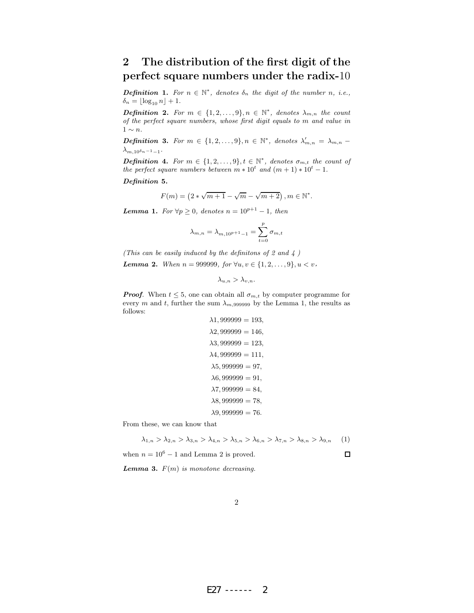## 2 The distribution of the first digit of the perfect square numbers under the radix-10

**Definition 1.** For  $n \in \mathbb{N}^*$ , denotes  $\delta_n$  the digit of the number n, i.e.,  $\delta_n = \lfloor \log_{10} n \rfloor + 1.$ 

**Definition 2.** For  $m \in \{1, 2, ..., 9\}, n \in \mathbb{N}^*$ , denotes  $\lambda_{m,n}$  the count of the perfect square numbers, whose first digit equals to m and value in  $1 \sim n$ .

**Definition 3.** For  $m \in \{1, 2, ..., 9\}, n \in \mathbb{N}^*$ , denotes  $\lambda'_{m,n} = \lambda_{m,n}$  $\lambda_{m,10^{\delta_n-1}-1}.$ 

**Definition 4.** For  $m \in \{1, 2, ..., 9\}, t \in \mathbb{N}^*$ , denotes  $\sigma_{m,t}$  the count of the perfect square numbers between  $m * 10^t$  and  $(m + 1) * 10^t - 1$ .

Definition 5.

$$
F(m) = (2 * \sqrt{m+1} - \sqrt{m} - \sqrt{m+2}), m \in \mathbb{N}^*.
$$

**Lemma 1.** For  $\forall p \geq 0$ , denotes  $n = 10^{p+1} - 1$ , then

$$
\lambda_{m,n} = \lambda_{m,10^{p+1}-1} = \sum_{t=0}^{p} \sigma_{m,t}
$$

(This can be easily induced by the definitons of 2 and  $\downarrow$ )

Lemma 2. When  $n = 999999$ , for  $\forall u, v \in \{1, 2, ..., 9\}, u < v$ ,

$$
\lambda_{u,n} > \lambda_{v,n}.
$$

**Proof.** When  $t \leq 5$ , one can obtain all  $\sigma_{m,t}$  by computer programme for every m and t, further the sum  $\lambda_{m,999999}$  by the Lemma 1, the results as follows:

$$
\lambda 1,999999 = 193, \n\lambda 2,999999 = 146, \n\lambda 3,999999 = 123, \n\lambda 4,999999 = 111, \n\lambda 5,999999 = 97, \n\lambda 6,999999 = 91, \n\lambda 7,999999 = 84, \n\lambda 8,999999 = 78, \n\lambda 9,999999 = 76.
$$

From these, we can know that

$$
\lambda_{1,n} > \lambda_{2,n} > \lambda_{3,n} > \lambda_{4,n} > \lambda_{5,n} > \lambda_{6,n} > \lambda_{7,n} > \lambda_{8,n} > \lambda_{9,n} \tag{1}
$$

when  $n = 10^6 - 1$  and Lemma 2 is proved.

 $\Box$ 

**Lemma 3.**  $F(m)$  is monotone decreasing.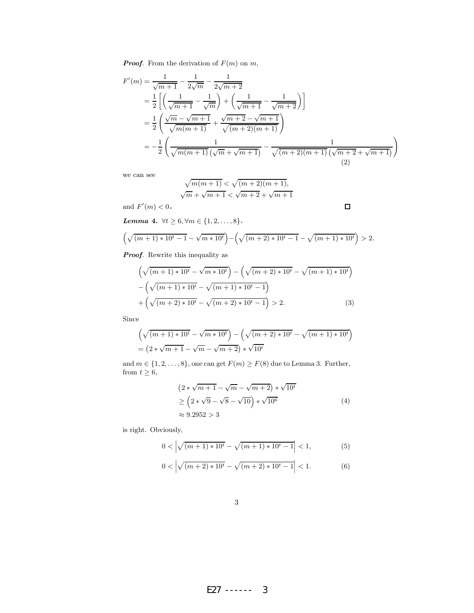**Proof.** From the derivation of  $F(m)$  on  $m$ ,

$$
F'(m) = \frac{1}{\sqrt{m+1}} - \frac{1}{2\sqrt{m}} - \frac{1}{2\sqrt{m+2}}
$$
  
= 
$$
\frac{1}{2} \left[ \left( \frac{1}{\sqrt{m+1}} - \frac{1}{\sqrt{m}} \right) + \left( \frac{1}{\sqrt{m+1}} - \frac{1}{\sqrt{m+2}} \right) \right]
$$
  
= 
$$
\frac{1}{2} \left( \frac{\sqrt{m} - \sqrt{m+1}}{\sqrt{m(m+1)}} + \frac{\sqrt{m+2} - \sqrt{m+1}}{\sqrt{(m+2)(m+1)}} \right)
$$
  
= 
$$
-\frac{1}{2} \left( \frac{1}{\sqrt{m(m+1)} \left( \sqrt{m} + \sqrt{m+1} \right)} - \frac{1}{\sqrt{(m+2)(m+1)} \left( \sqrt{m+2} + \sqrt{m+1} \right)} \right)
$$
(2)

 $\Box$ 

we can see

$$
\sqrt{m(m+1)} < \sqrt{(m+2)(m+1)},
$$
  

$$
\sqrt{m} + \sqrt{m+1} < \sqrt{m+2} + \sqrt{m+1}
$$

and  $F'(m) < 0$ .

Lemma 4.  $\forall t \geq 6, \forall m \in \{1, 2, \ldots, 8\}$ ,

$$
\left(\sqrt{(m+1)*10^t - 1} - \sqrt{m*10^t}\right) - \left(\sqrt{(m+2)*10^t - 1} - \sqrt{(m+1)*10^t}\right) > 2.
$$

Proof. Rewrite this inequality as

$$
\left(\sqrt{(m+1)*10^{t}} - \sqrt{m*10^{t}}\right) - \left(\sqrt{(m+2)*10^{t}} - \sqrt{(m+1)*10^{t}}\right) - \left(\sqrt{(m+1)*10^{t}} - \sqrt{(m+1)*10^{t}} - 1\right) + \left(\sqrt{(m+2)*10^{t}} - \sqrt{(m+2)*10^{t}} - 1\right) > 2.
$$
 (3)

Since

$$
\left(\sqrt{(m+1) * 10^{t}} - \sqrt{m * 10^{t}}\right) - \left(\sqrt{(m+2) * 10^{t}} - \sqrt{(m+1) * 10^{t}}\right)
$$

$$
= \left(2 * \sqrt{m+1} - \sqrt{m} - \sqrt{m+2}\right) * \sqrt{10^{t}}
$$

and  $m \in \{1,2,\ldots,8\},$  one can get  $F(m) \geq F(8)$  due to Lemma 3. Further, from  $t \geq 6$ ,

$$
(2 * \sqrt{m+1} - \sqrt{m} - \sqrt{m+2}) * \sqrt{10^t}
$$
  
\n
$$
\geq (2 * \sqrt{9} - \sqrt{8} - \sqrt{10}) * \sqrt{10^6}
$$
  
\n
$$
\approx 9.2952 > 3
$$
\n(4)

is right. Obviously,

$$
0 < \left| \sqrt{(m+1) * 10^t} - \sqrt{(m+1) * 10^t - 1} \right| < 1,\tag{5}
$$

$$
0 < \left| \sqrt{(m+2) * 10^t} - \sqrt{(m+2) * 10^t - 1} \right| < 1. \tag{6}
$$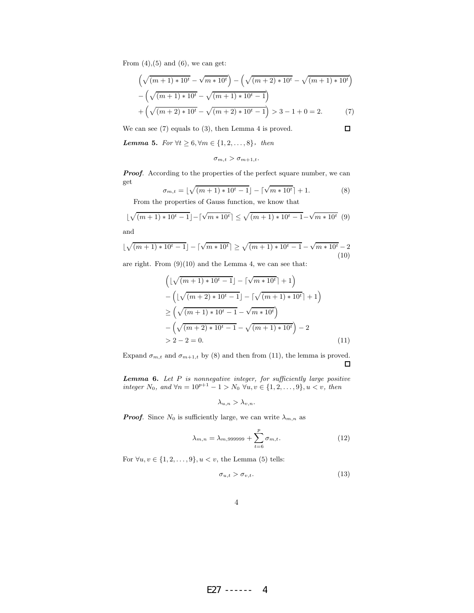From  $(4)$ , $(5)$  and  $(6)$ , we can get:

$$
\left(\sqrt{(m+1)*10^{t}} - \sqrt{m*10^{t}}\right) - \left(\sqrt{(m+2)*10^{t}} - \sqrt{(m+1)*10^{t}}\right) - \left(\sqrt{(m+1)*10^{t}} - \sqrt{(m+1)*10^{t}} - 1\right) + \left(\sqrt{(m+2)*10^{t}} - \sqrt{(m+2)*10^{t}} - 1\right) > 3 - 1 + 0 = 2.
$$
 (7)

 $\Box$ 

We can see (7) equals to (3), then Lemma 4 is proved.

Lemma 5. For  $\forall t \geq 6, \forall m \in \{1, 2, ..., 8\}$ , then

 $\sigma_{m,t} > \sigma_{m+1,t}.$ 

**Proof.** According to the properties of the perfect square number, we can get

$$
\sigma_{m,t} = \lfloor \sqrt{(m+1) * 10^t - 1} \rfloor - \lceil \sqrt{m * 10^t} \rceil + 1.
$$
\n(8)

\nFrom the properties of Gauss function, we know that

 $\lfloor \sqrt{(m+1) * 10^t - 1} \rfloor - \lceil \sqrt{m * 10^t} \rceil \le \sqrt{(m+1) * 10^t - 1} - \sqrt{m * 10^t} \tag{9}$ 

and

$$
\lfloor \sqrt{(m+1) * 10^t - 1} \rfloor - \lceil \sqrt{m * 10^t} \rceil \ge \sqrt{(m+1) * 10^t - 1} - \sqrt{m * 10^t} - 2
$$
\n(10)

are right. From  $(9)(10)$  and the Lemma 4, we can see that:

$$
\left( \lfloor \sqrt{(m+1) * 10^t - 1} \rfloor - \lceil \sqrt{m * 10^t} \rceil + 1 \right) \n- \left( \lfloor \sqrt{(m+2) * 10^t - 1} \rfloor - \lceil \sqrt{(m+1) * 10^t} \rceil + 1 \right) \n\ge \left( \sqrt{(m+1) * 10^t - 1} - \sqrt{m * 10^t} \right) \n- \left( \sqrt{(m+2) * 10^t - 1} - \sqrt{(m+1) * 10^t} \right) - 2 \n> 2 - 2 = 0.
$$
\n(11)

Expand  $\sigma_{m,t}$  and  $\sigma_{m+1,t}$  by (8) and then from (11), the lemma is proved.  $\Box$ 

**Lemma 6.** Let  $P$  is nonnegative integer, for sufficiently large positive integer  $N_0$ , and ∀n = 10<sup>p+1</sup> − 1 >  $N_0$  ∀u,  $v \in \{1, 2, ..., 9\}$ ,  $u < v$ , then

$$
\lambda_{u,n} > \lambda_{v,n}.
$$

**Proof.** Since  $N_0$  is sufficiently large, we can write  $\lambda_{m,n}$  as

$$
\lambda_{m,n} = \lambda_{m,999999} + \sum_{t=6}^{p} \sigma_{m,t}.
$$
 (12)

For  $\forall u, v \in \{1, 2, ..., 9\}, u < v$ , the Lemma (5) tells:

$$
\sigma_{u,t} > \sigma_{v,t}.\tag{13}
$$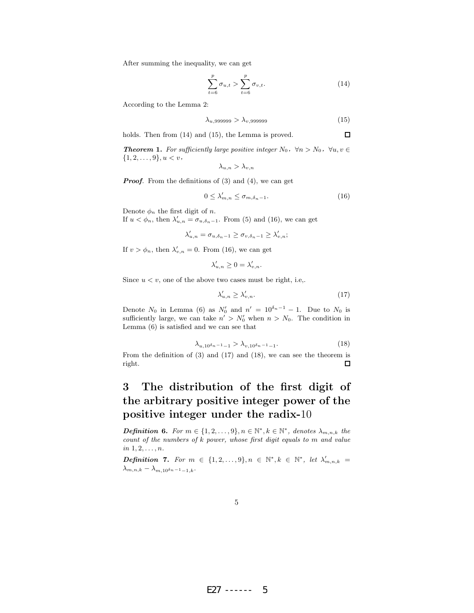After summing the inequality, we can get

$$
\sum_{t=6}^{p} \sigma_{u,t} > \sum_{t=6}^{p} \sigma_{v,t}.
$$
 (14)

According to the Lemma 2:

$$
\lambda_{u,999999} > \lambda_{v,999999} \tag{15}
$$

 $\Box$ 

holds. Then from  $(14)$  and  $(15)$ , the Lemma is proved.

**Theorem 1.** For sufficiently large positive integer  $N_0$ ,  $\forall n > N_0$ ,  $\forall u, v \in$  $\{1, 2, \ldots, 9\}, u < v$ ,

$$
\lambda_{u,n} > \lambda_{v,n}
$$

**Proof.** From the definitions of  $(3)$  and  $(4)$ , we can get

$$
0 \le \lambda'_{m,n} \le \sigma_{m,\delta_n - 1}.\tag{16}
$$

Denote  $\phi_n$  the first digit of *n*.

If  $u < \phi_n$ , then  $\lambda'_{u,n} = \sigma_{u,\delta_n-1}$ . From (5) and (16), we can get

$$
\lambda'_{u,n} = \sigma_{u,\delta_n-1} \ge \sigma_{v,\delta_n-1} \ge \lambda'_{v,n};
$$

If  $v > \phi_n$ , then  $\lambda'_{v,n} = 0$ . From (16), we can get

$$
\lambda'_{u,n}\geq 0=\lambda'_{v,n}.
$$

Since  $u < v$ , one of the above two cases must be right, i.e..

$$
\lambda'_{u,n} \ge \lambda'_{v,n}.\tag{17}
$$

Denote  $N_0$  in Lemma (6) as  $N'_0$  and  $n' = 10^{\delta_n - 1} - 1$ . Due to  $N_0$  is sufficiently large, we can take  $n' > N'_0$  when  $n > N_0$ . The condition in Lemma (6) is satisfied and we can see that

$$
\lambda_{u,10^{\delta_n - 1} - 1} > \lambda_{v,10^{\delta_n - 1} - 1}.\tag{18}
$$

From the definition of (3) and (17) and (18), we can see the theorem is  $\Box$ right.

## 3 The distribution of the first digit of the arbitrary positive integer power of the positive integer under the radix-10

**Definition 6.** For  $m \in \{1, 2, ..., 9\}, n \in \mathbb{N}^*, k \in \mathbb{N}^*,$  denotes  $\lambda_{m,n,k}$  the count of the numbers of k power, whose first digit equals to m and value  $in 1, 2, \ldots, n$ .

**Definition 7.** For  $m \in \{1, 2, ..., 9\}, n \in \mathbb{N}^*, k \in \mathbb{N}^*, let \lambda'_{m,n,k} =$  $\lambda_{m,n,k}-\lambda_{m,10^{\delta_n-1}-1,k}.$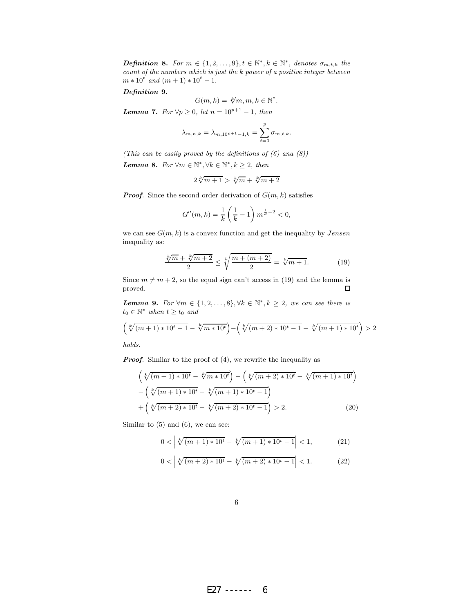**Definition 8.** For  $m \in \{1, 2, ..., 9\}, t \in \mathbb{N}^*, k \in \mathbb{N}^*,$  denotes  $\sigma_{m,t,k}$  the count of the numbers which is just the k power of a positive integer between  $m * 10^t$  and  $(m + 1) * 10^t - 1$ .

Definition 9.

$$
G(m,k) = \sqrt[k]{m}, m, k \in \mathbb{N}^*.
$$

**Lemma 7.** For  $\forall p \geq 0$ , let  $n = 10^{p+1} - 1$ , then

$$
\lambda_{m,n,k} = \lambda_{m,10^{p+1}-1,k} = \sum_{t=0}^{p} \sigma_{m,t,k}.
$$

(This can be easily proved by the definitions of  $(6)$  and  $(8)$ )

**Lemma 8.** For  $\forall m \in \mathbb{N}^*, \forall k \in \mathbb{N}^*, k \geq 2$ , then

$$
2\sqrt[k]{m+1} > \sqrt[k]{m} + \sqrt[k]{m+2}
$$

**Proof.** Since the second order derivation of  $G(m, k)$  satisfies

$$
G''(m,k) = \frac{1}{k} \left(\frac{1}{k} - 1\right) m^{\frac{1}{k}-2} < 0,
$$

we can see  $G(m, k)$  is a convex function and get the inequality by  $Jensen$ inequality as:

$$
\frac{\sqrt[k]{m} + \sqrt[k]{m+2}}{2} \le \sqrt[k]{\frac{m + (m+2)}{2}} = \sqrt[k]{m+1}.
$$
 (19)

Since  $m \neq m + 2$ , so the equal sign can't access in (19) and the lemma is proved. proved.

**Lemma 9.** For  $\forall m \in \{1, 2, ..., 8\}, \forall k \in \mathbb{N}^*, k \geq 2$ , we can see there is  $t_0 \in \mathbb{N}^*$  when  $t \geq t_0$  and

$$
\left(\sqrt[k]{(m+1)*10^{t}-1} - \sqrt[k]{m*10^{t}}\right) - \left(\sqrt[k]{(m+2)*10^{t}-1} - \sqrt[k]{(m+1)*10^{t}}\right) > 2
$$

holds.

**Proof.** Similar to the proof of  $(4)$ , we rewrite the inequality as

$$
\left(\sqrt[k]{(m+1)*10^{t}} - \sqrt[k]{m*10^{t}}\right) - \left(\sqrt[k]{(m+2)*10^{t}} - \sqrt[k]{(m+1)*10^{t}}\right) \n- \left(\sqrt[k]{(m+1)*10^{t}} - \sqrt[k]{(m+1)*10^{t}} - 1\right) \n+ \left(\sqrt[k]{(m+2)*10^{t}} - \sqrt[k]{(m+2)*10^{t}} - 1\right) > 2.
$$
\n(20)

Similar to  $(5)$  and  $(6)$ , we can see:

$$
0 < \left| \sqrt[k]{(m+1) * 10^t} - \sqrt[k]{(m+1) * 10^t - 1} \right| < 1,\tag{21}
$$

$$
0 < \left| \sqrt[k]{(m+2) * 10^t} - \sqrt[k]{(m+2) * 10^t - 1} \right| < 1. \tag{22}
$$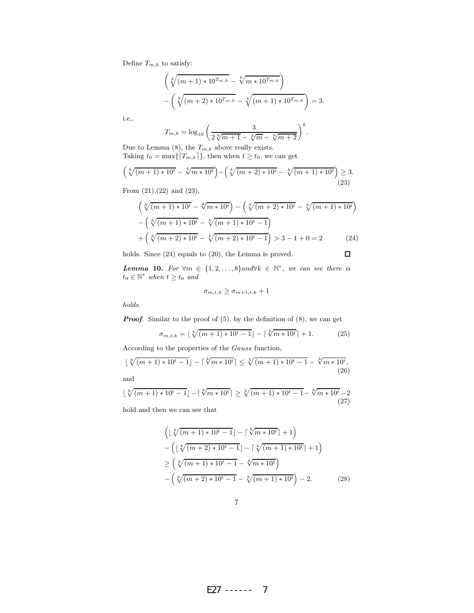Define  $T_{m,k}$  to satisfy:

$$
\left(\sqrt[k]{(m+1) * 10^{T_{m,k}} - \sqrt[k]{m * 10^{T_{m,k}}}}\right) - \left(\sqrt[k]{(m+2) * 10^{T_{m,k}} - \sqrt[k]{(m+1) * 10^{T_{m,k}}}}\right) = 3.
$$

i.e,.

$$
T_{m,k} = \log_{10} \left( \frac{3}{2\sqrt[k]{m+1} - \sqrt[k]{m} - \sqrt[k]{m+2}} \right)^k.
$$

Due to Lemma (8), the  $\mathcal{T}_{m,k}$  above really exists. Taking  $t_0 = \max\{[T_{m,k}]\},$  then when  $t \ge t_0$ , we can get

$$
\left(\sqrt[k]{(m+1)*10^{t}} - \sqrt[k]{m*10^{t}}\right) - \left(\sqrt[k]{(m+2)*10^{t}} - \sqrt[k]{(m+1)*10^{t}}\right) \ge 3.
$$
\n(23)

From (21),(22) and (23),

$$
\left(\sqrt[k]{(m+1)*10^{t}} - \sqrt[k]{m*10^{t}}\right) - \left(\sqrt[k]{(m+2)*10^{t}} - \sqrt[k]{(m+1)*10^{t}}\right)
$$

$$
-\left(\sqrt[k]{(m+1)*10^{t}} - \sqrt[k]{(m+1)*10^{t}} - 1\right)
$$

$$
+\left(\sqrt[k]{(m+2)*10^{t}} - \sqrt[k]{(m+2)*10^{t}} - 1\right) > 3 - 1 + 0 = 2
$$
 (24)  
ls. Since (24) equals to (20), the Lemma is proved.

holds. Since (24) equals to (20), the Lemma is proved.

**Lemma 10.** For  $\forall m \in \{1, 2, ..., 8\}$ and $\forall k \in \mathbb{N}^*$ , we can see there is  $t_0 \in \mathbb{N}^*$  when  $t \geq t_0$  and

$$
\sigma_{m,t,k} \ge \sigma_{m+1,t,k} + 1
$$

holds.

**Proof.** Similar to the proof of  $(5)$ , by the definition of  $(8)$ , we can get

$$
\sigma_{m,t,k} = \lfloor \sqrt[k]{(m+1) * 10^t - 1} \rfloor - \lceil \sqrt[k]{m * 10^t} \rceil + 1. \tag{25}
$$

According to the properties of the Gauss function,

$$
\lfloor \sqrt[k]{(m+1) * 10^t - 1} \rfloor - \lceil \sqrt[k]{m * 10^t} \rceil \le \sqrt[k]{(m+1) * 10^t - 1} - \sqrt[k]{m * 10^t},
$$
\n(26)

and

$$
\lfloor \sqrt[k]{(m+1) * 10^t - 1} \rfloor - \lceil \sqrt[k]{m * 10^t} \rceil \ge \sqrt[k]{(m+1) * 10^t - 1} - \sqrt[k]{m * 10^t - 2}
$$
\n(27)

hold and then we can see that

$$
\left( \lfloor \sqrt[k]{(m+1) * 10^t - 1} \rfloor - \lceil \sqrt[k]{m * 10^t} \rceil + 1 \right) \n- \left( \lfloor \sqrt[k]{(m+2) * 10^t - 1} \rfloor - \lceil \sqrt[k]{(m+1) * 10^t} \rceil + 1 \right) \n\ge \left( \sqrt[k]{(m+1) * 10^t - 1} - \sqrt[k]{m * 10^t} \right) \n- \left( \sqrt[k]{(m+2) * 10^t - 1} - \sqrt[k]{(m+1) * 10^t} \right) - 2.
$$
\n(28)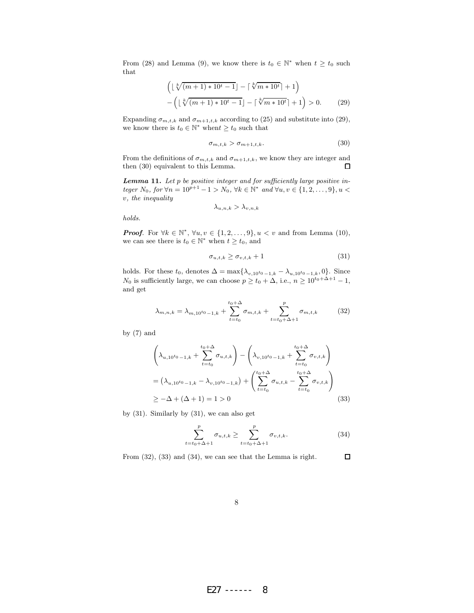From (28) and Lemma (9), we know there is  $t_0 \in \mathbb{N}^*$  when  $t \geq t_0$  such that

$$
\left(\lfloor\sqrt[k]{(m+1)*10^{t}-1}\rfloor - \lceil\sqrt[k]{m*10^{t}}\rceil + 1\right) - \left(\lfloor\sqrt[k]{(m+1)*10^{t}-1}\rfloor - \lceil\sqrt[k]{m*10^{t}}\rceil + 1\right) > 0.
$$
 (29)

Expanding  $\sigma_{m,t,k}$  and  $\sigma_{m+1,t,k}$  according to (25) and substitute into (29), we know there is  $t_0 \in \mathbb{N}^*$  when  $t \geq t_0$  such that

$$
\sigma_{m,t,k} > \sigma_{m+1,t,k}.\tag{30}
$$

From the definitions of  $\sigma_{m,t,k}$  and  $\sigma_{m+1,t,k}$ , we know they are integer and then (30) equivalent to this Lemma.  $\Box$ 

**Lemma 11.** Let  $p$  be positive integer and for sufficiently large positive integer  $N_0$ , for  $\forall n = 10^{p+1} - 1 > N_0$ ,  $\forall k \in \mathbb{N}^*$  and  $\forall u, v \in \{1, 2, ..., 9\}, u <$ v, the inequality

$$
\lambda_{u,n,k} > \lambda_{v,n,k}
$$

holds.

**Proof.** For  $\forall k \in \mathbb{N}^*, \forall u, v \in \{1, 2, ..., 9\}, u < v$  and from Lemma (10), we can see there is  $t_0 \in \mathbb{N}^*$  when  $t \geq t_0$ , and

$$
\sigma_{u,t,k} \ge \sigma_{v,t,k} + 1 \tag{31}
$$

holds. For these  $t_0$ , denotes  $\Delta = \max\{\lambda_{v,10^{t_0}-1,k} - \lambda_{u,10^{t_0}-1,k}, 0\}$ . Since  $N_0$  is sufficiently large, we can choose  $p \ge t_0 + \Delta$ , i.e.,  $n \ge 10^{t_0 + \Delta + 1} - 1$ , and get

$$
\lambda_{m,n,k} = \lambda_{m,10^{t_0} - 1,k} + \sum_{t=t_0}^{t_0 + \Delta} \sigma_{m,t,k} + \sum_{t=t_0 + \Delta + 1}^{p} \sigma_{m,t,k} \tag{32}
$$

by (7) and

$$
\left(\lambda_{u,10^{t_0}-1,k} + \sum_{t=t_0}^{t_0+\Delta} \sigma_{u,t,k}\right) - \left(\lambda_{v,10^{t_0}-1,k} + \sum_{t=t_0}^{t_0+\Delta} \sigma_{v,t,k}\right)
$$
\n
$$
= \left(\lambda_{u,10^{t_0}-1,k} - \lambda_{v,10^{t_0}-1,k}\right) + \left(\sum_{t=t_0}^{t_0+\Delta} \sigma_{u,t,k} - \sum_{t=t_0}^{t_0+\Delta} \sigma_{v,t,k}\right)
$$
\n
$$
\geq -\Delta + (\Delta + 1) = 1 > 0
$$
\n(33)

by (31). Similarly by (31), we can also get

$$
\sum_{t=t_0+\Delta+1}^{p} \sigma_{u,t,k} \ge \sum_{t=t_0+\Delta+1}^{p} \sigma_{v,t,k}.
$$
 (34)

 $\Box$ From (32), (33) and (34), we can see that the Lemma is right.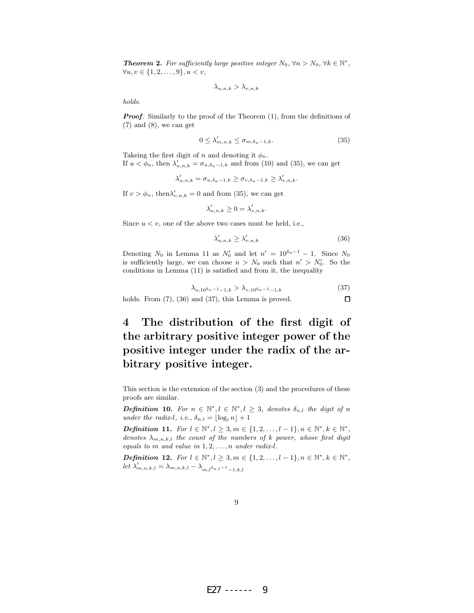**Theorem 2.** For sufficiently large positive integer  $N_0$ ,  $\forall n > N_0$ ,  $\forall k \in \mathbb{N}^*$ ,  $\forall u, v \in \{1, 2, \ldots, 9\}, u < v,$ 

$$
\lambda_{u,n,k} > \lambda_{v,n,k}
$$

holds.

**Proof.** Similarly to the proof of the Theorem  $(1)$ , from the definitions of  $(7)$  and  $(8)$ , we can get

$$
0 \le \lambda'_{m,n,k} \le \sigma_{m,\delta_n-1,k}.\tag{35}
$$

Takeing the first digit of n and denoting it  $\phi_n$ . If  $u < \phi_n$ , then  $\lambda'_{u,n,k} = \sigma_{u,\delta_n-1,k}$  and from (10) and (35), we can get

$$
\lambda'_{u,n,k} = \sigma_{u,\delta_n-1,k} \geq \sigma_{v,\delta_n-1,k} \geq \lambda'_{v,n,k}.
$$

If  $v > \phi_n$ , then  $\lambda'_{v,n,k} = 0$  and from (35), we can get

$$
\lambda'_{u,n,k}\geq 0=\lambda'_{v,n,k}.
$$

Since  $u < v$ , one of the above two cases must be held, i.e.,

$$
\lambda'_{u,n,k} \ge \lambda'_{v,n,k} \tag{36}
$$

 $\Box$ 

Denoting  $N_0$  in Lemma 11 as  $N'_0$  and let  $n' = 10^{\delta_n - 1} - 1$ . Since  $N_0$ is sufficiently large, we can choose  $n > N_0$  such that  $n' > N'_0$ . So the conditions in Lemma (11) is satisfied and from it, the inequality

$$
\lambda_{u,10^{\delta_n - 1} - 1,k} > \lambda_{v,10^{\delta_n - 1} - 1,k} \tag{37}
$$

holds. From  $(7)$ ,  $(36)$  and  $(37)$ , this Lemma is proved.

## 4 The distribution of the first digit of the arbitrary positive integer power of the positive integer under the radix of the arbitrary positive integer.

This section is the extension of the section (3) and the procedures of these proofs are similar.

**Definition 10.** For  $n \in \mathbb{N}^*, l \in \mathbb{N}^*, l \geq 3$ , denotes  $\delta_{n,l}$  the digit of n under the radix-l, i.e.,  $\delta_{n,l} = |\log_l n| + 1$ 

*Definition* 11. For  $l \in \mathbb{N}^*, l \geq 3, m \in \{1, 2, ..., l-1\}, n \in \mathbb{N}^*, k \in \mathbb{N}^*,$ denotes  $\lambda_{m,n,k,l}$  the count of the numbers of k power, whose first digit equals to  $m$  and value in  $1, 2, \ldots, n$  under radix-l.

*Definition* 12. For  $l \in \mathbb{N}^*, l \geq 3, m \in \{1, 2, ..., l-1\}, n \in \mathbb{N}^*, k \in \mathbb{N}^*,$ let  $\lambda'_{m,n,k,l} = \lambda_{m,n,k,l} - \lambda_{m,l} \sum_{i=1, k,l}^{n}$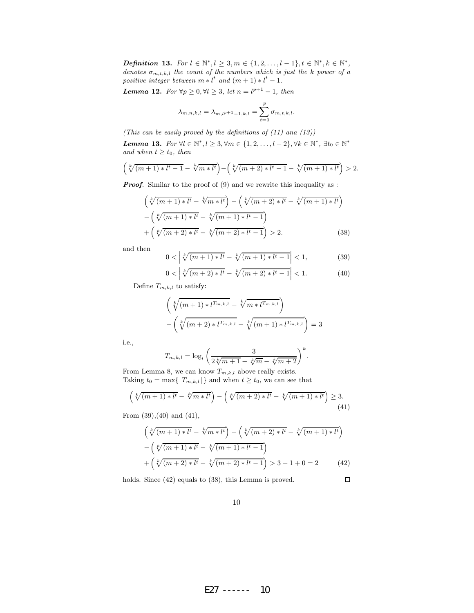*Definition* 13. For  $l \in \mathbb{N}^*, l \geq 3, m \in \{1, 2, ..., l-1\}, t \in \mathbb{N}^*, k \in \mathbb{N}^*,$ denotes  $\sigma_{m,t,k,l}$  the count of the numbers which is just the k power of a positive integer between  $m * l^t$  and  $(m + 1) * l^t - 1$ .

**Lemma 12.** For  $\forall p \geq 0, \forall l \geq 3$ , let  $n = l^{p+1} - 1$ , then

$$
\lambda_{m,n,k,l} = \lambda_{m,l^{p+1}-1,k,l} = \sum_{t=0}^{p} \sigma_{m,t,k,l}.
$$

(This can be easily proved by the definitions of  $(11)$  and  $(13)$ )

Lemma 13. For  $\forall l \in \mathbb{N}^*, l \geq 3, \forall m \in \{1, 2, \ldots, l-2\}, \forall k \in \mathbb{N}^*, \exists t_0 \in \mathbb{N}^*$ and when  $t \geq t_0$ , then

$$
\left(\sqrt[k]{(m+1) * l^t - 1} - \sqrt[k]{m * l^t}\right) - \left(\sqrt[k]{(m+2) * l^t - 1} - \sqrt[k]{(m+1) * l^t}\right) > 2.
$$

**Proof.** Similar to the proof of (9) and we rewrite this inequality as :

$$
\left(\sqrt[k]{(m+1) * l^t} - \sqrt[k]{m * l^t}\right) - \left(\sqrt[k]{(m+2) * l^t} - \sqrt[k]{(m+1) * l^t}\right) \n- \left(\sqrt[k]{(m+1) * l^t} - \sqrt[k]{(m+1) * l^t} - 1\right) \n+ \left(\sqrt[k]{(m+2) * l^t} - \sqrt[k]{(m+2) * l^t} - 1\right) > 2.
$$
\n(38)

and then

$$
0 < \left| \sqrt[k]{(m+1) * l^t} - \sqrt[k]{(m+1) * l^t - 1} \right| < 1,\tag{39}
$$

$$
0 < \left| \sqrt[k]{(m+2) * l^t} - \sqrt[k]{(m+2) * l^t - 1} \right| < 1. \tag{40}
$$

Define  $T_{m,k,l}$  to satisfy:

$$
\left(\sqrt[k]{(m+1) * l^{T_{m,k,l}}} - \sqrt[k]{m * l^{T_{m,k,l}}}\right)
$$

$$
-\left(\sqrt[k]{(m+2) * l^{T_{m,k,l}}}- \sqrt[k]{(m+1) * l^{T_{m,k,l}}}\right) = 3
$$

i.e.,

$$
T_{m,k,l} = \log_l \left( \frac{3}{2\sqrt[k]{m+1} - \sqrt[k]{m} - \sqrt[k]{m+2}} \right)^k.
$$

From Lemma 8, we can know  $T_{m,k,l}$  above really exists. Taking  $t_0 = \max\{[T_{m,k,l}]\}\$  and when  $t \geq t_0$ , we can see that

$$
\left(\sqrt[k]{(m+1) * l^t} - \sqrt[k]{m * l^t}\right) - \left(\sqrt[k]{(m+2) * l^t} - \sqrt[k]{(m+1) * l^t}\right) \ge 3.
$$
\n(41)

From (39),(40) and (41),

$$
\left(\sqrt[k]{(m+1) * l^t} - \sqrt[k]{m * l^t}\right) - \left(\sqrt[k]{(m+2) * l^t} - \sqrt[k]{(m+1) * l^t}\right) \n- \left(\sqrt[k]{(m+1) * l^t} - \sqrt[k]{(m+1) * l^t} - 1\right) \n+ \left(\sqrt[k]{(m+2) * l^t} - \sqrt[k]{(m+2) * l^t} - 1\right) > 3 - 1 + 0 = 2
$$
\n(42)

holds. Since  $(42)$  equals to  $(38)$ , this Lemma is proved.

 $\Box$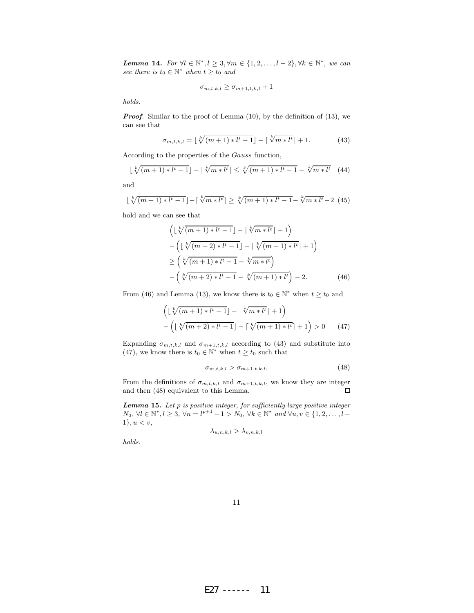Lemma 14. For  $\forall l \in \mathbb{N}^*, l \geq 3, \forall m \in \{1, 2, ..., l-2\}, \forall k \in \mathbb{N}^*,$  we can see there is  $t_0 \in \mathbb{N}^*$  when  $t \geq t_0$  and

$$
\sigma_{m,t,k,l} \geq \sigma_{m+1,t,k,l} + 1
$$

holds.

**Proof.** Similar to the proof of Lemma (10), by the definition of (13), we can see that

$$
\sigma_{m,t,k,l} = \lfloor \sqrt[k]{(m+1) * l^t - 1} \rfloor - \lceil \sqrt[k]{m * l^t} \rceil + 1. \tag{43}
$$

According to the properties of the Gauss function,

$$
\lfloor \sqrt[k]{(m+1) * l^t - 1} \rfloor - \lceil \sqrt[k]{m * l^t} \rceil \le \sqrt[k]{(m+1) * l^t - 1} - \sqrt[k]{m * l^t} \tag{44}
$$

and

$$
\lfloor \sqrt[k]{(m+1) * l^t - 1} \rfloor - \lceil \sqrt[k]{m * l^t} \rceil \ge \sqrt[k]{(m+1) * l^t - 1} - \sqrt[k]{m * l^t} - 2 \tag{45}
$$

hold and we can see that

$$
\left( \lfloor \sqrt[k]{(m+1) * l^t - 1} \rfloor - \lceil \sqrt[k]{m * l^t} \rceil + 1 \right) \n- \left( \lfloor \sqrt[k]{(m+2) * l^t - 1} \rfloor - \lceil \sqrt[k]{(m+1) * l^t} \rceil + 1 \right) \n\ge \left( \sqrt[k]{(m+1) * l^t - 1} - \sqrt[k]{m * l^t} \right) \n- \left( \sqrt[k]{(m+2) * l^t - 1} - \sqrt[k]{(m+1) * l^t} \right) - 2.
$$
\n(46)

From (46) and Lemma (13), we know there is  $t_0 \in \mathbb{N}^*$  when  $t \geq t_0$  and

$$
\left(\lfloor\sqrt[k]{(m+1)*l^{t}-1}\rfloor - \lceil\sqrt[k]{m*l^{t}}\rceil + 1\right) - \left(\lfloor\sqrt[k]{(m+2)*l^{t}-1}\rfloor - \lceil\sqrt[k]{(m+1)*l^{t}}\rceil + 1\right) > 0 \qquad (47)
$$

Expanding  $\sigma_{m,t,k,l}$  and  $\sigma_{m+1,t,k,l}$  according to (43) and substitute into (47), we know there is  $t_0 \in \mathbb{N}^*$  when  $t \geq t_0$  such that

$$
\sigma_{m,t,k,l} > \sigma_{m+1,t,k,l}.\tag{48}
$$

From the definitions of  $\sigma_{m,t,k,l}$  and  $\sigma_{m+1,t,k,l}$ , we know they are integer and then (48) equivalent to this Lemma.  $\Box$ 

**Lemma 15.** Let  $p$  is positive integer, for sufficiently large positive integer  $N_0, \forall l \in \mathbb{N}^*, l \ge 3, \forall n = l^{p+1} - 1 > N_0, \forall k \in \mathbb{N}^* \text{ and } \forall u, v \in \{1, 2, ..., l - 1\}$  $1\}, u < v,$ 

$$
\lambda_{u,n,k,l} > \lambda_{v,n,k,l}
$$

holds.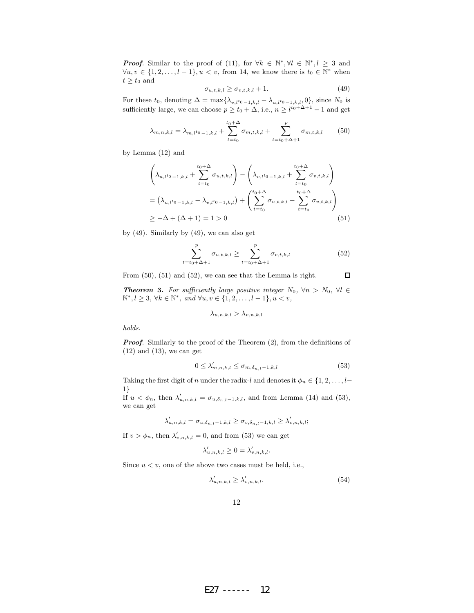**Proof.** Similar to the proof of (11), for  $\forall k \in \mathbb{N}^*, \forall l \in \mathbb{N}^*, l \geq 3$  and  $\forall u, v \in \{1, 2, \ldots, l-1\}, u < v$ , from 14, we know there is  $t_0 \in \mathbb{N}^*$  when  $t\geq t_0$  and

$$
\sigma_{u,t,k,l} \ge \sigma_{v,t,k,l} + 1. \tag{49}
$$

For these  $t_0$ , denoting  $\Delta = \max\{\lambda_{v,t^{t_0}-1,k,l} - \lambda_{u,t^{t_0}-1,k,l}, 0\}$ , since  $N_0$  is sufficiently large, we can choose  $p \ge t_0 + \Delta$ , i.e.,  $n \ge l^{t_0 + \Delta + 1} - 1$  and get

$$
\lambda_{m,n,k,l} = \lambda_{m,l} t_{0-1,k,l} + \sum_{t=t_0}^{t_0+\Delta} \sigma_{m,t,k,l} + \sum_{t=t_0+\Delta+1}^{p} \sigma_{m,t,k,l} \qquad (50)
$$

by Lemma (12) and

$$
\left(\lambda_{u,l^{t_0}-1,k,l} + \sum_{t=t_0}^{t_0+\Delta} \sigma_{u,t,k,l}\right) - \left(\lambda_{v,l^{t_0}-1,k,l} + \sum_{t=t_0}^{t_0+\Delta} \sigma_{v,t,k,l}\right)
$$
\n
$$
= \left(\lambda_{u,l^{t_0}-1,k,l} - \lambda_{v,l^{t_0}-1,k,l}\right) + \left(\sum_{t=t_0}^{t_0+\Delta} \sigma_{u,t,k,l} - \sum_{t=t_0}^{t_0+\Delta} \sigma_{v,t,k,l}\right)
$$
\n
$$
\geq -\Delta + (\Delta + 1) = 1 > 0
$$
\n(51)

by (49). Similarly by (49), we can also get

$$
\sum_{t=t_0+\Delta+1}^p \sigma_{u,t,k,l} \ge \sum_{t=t_0+\Delta+1}^p \sigma_{v,t,k,l} \tag{52}
$$

From (50), (51) and (52), we can see that the Lemma is right.  $\Box$ 

**Theorem 3.** For sufficiently large positive integer  $N_0$ ,  $\forall n > N_0$ ,  $\forall l \in$  $\mathbb{N}^*, l \geq 3, \forall k \in \mathbb{N}^*, \text{ and } \forall u, v \in \{1, 2, ..., l-1\}, u < v,$ 

$$
\lambda_{u,n,k,l} > \lambda_{v,n,k,l}
$$

holds.

**Proof.** Similarly to the proof of the Theorem  $(2)$ , from the definitions of  $(12)$  and  $(13)$ , we can get

$$
0 \le \lambda'_{m,n,k,l} \le \sigma_{m,\delta_{n,l}-1,k,l} \tag{53}
$$

Taking the first digit of n under the radix-l and denotes it  $\phi_n \in \{1, 2, ..., l-1\}$ 1}

If  $u < \phi_n$ , then  $\lambda'_{u,n,k,l} = \sigma_{u,\delta_{n,l}-1,k,l}$ , and from Lemma (14) and (53), we can get

$$
\lambda'_{u,n,k,l} = \sigma_{u,\delta_{n,l}-1,k,l} \ge \sigma_{v,\delta_{n,l}-1,k,l} \ge \lambda'_{v,n,k,l};
$$

If  $v > \phi_n$ , then  $\lambda'_{v,n,k,l} = 0$ , and from (53) we can get

$$
\lambda'_{u,n,k,l}\geq 0=\lambda'_{v,n,k,l}.
$$

Since  $u < v$ , one of the above two cases must be held, i.e.,

$$
\lambda'_{u,n,k,l} \ge \lambda'_{v,n,k,l}.\tag{54}
$$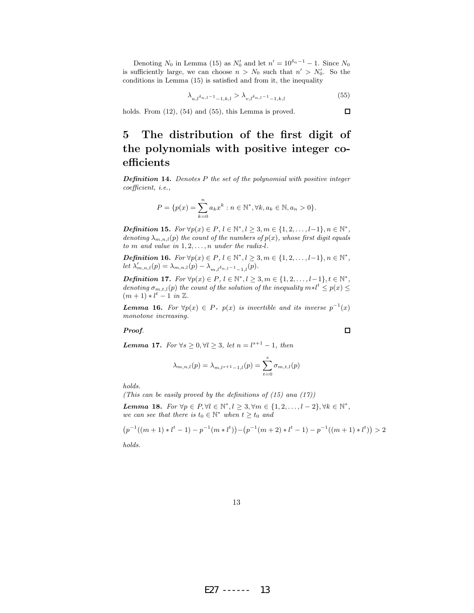Denoting  $N_0$  in Lemma (15) as  $N'_0$  and let  $n' = 10^{\delta_n - 1} - 1$ . Since  $N_0$ is sufficiently large, we can choose  $n > N_0$  such that  $n' > N'_0$ . So the conditions in Lemma (15) is satisfied and from it, the inequality

$$
\lambda_{u,l} \delta_{n,l-1} \delta_{n,l} > \lambda_{v,l} \delta_{n,l-1} \delta_{n,l} \tag{55}
$$

 $\Box$ 

 $\Box$ 

holds. From  $(12)$ ,  $(54)$  and  $(55)$ , this Lemma is proved.

## 5 The distribution of the first digit of the polynomials with positive integer coefficients

**Definition 14.** Denotes  $P$  the set of the polynomial with positive integer coefficient, i.e.,

$$
P = \{p(x) = \sum_{k=0}^{n} a_k x^k : n \in \mathbb{N}^*, \forall k, a_k \in \mathbb{N}, a_n > 0\}.
$$

*Definition* 15. For  $\forall p(x) \in P, l \in \mathbb{N}^*, l \geq 3, m \in \{1, 2, ..., l-1\}, n \in \mathbb{N}^*,$ denoting  $\lambda_{m,n,l}(p)$  the count of the numbers of  $p(x)$ , whose first digit equals to  $m$  and value in  $1, 2, \ldots, n$  under the radix-l.

**Definition 16.** For  $\forall p(x) \in P, l \in \mathbb{N}^*, l \geq 3, m \in \{1, 2, \ldots, l-1\}, n \in \mathbb{N}^*,$  $let \lambda'_{m,n,l}(p) = \lambda_{m,n,l}(p) - \lambda_{m,l} \delta_{n,l-1} - \lambda_{l}(p).$ 

*Definition* 17. For  $\forall p(x) \in P, l \in \mathbb{N}^*, l \geq 3, m \in \{1, 2, ..., l-1\}, t \in \mathbb{N}^*,$ denoting  $\sigma_{m,t,l}(p)$  the count of the solution of the inequality  $m * l^t \leq p(x) \leq$  $(m+1)*l^{t} - 1$  in  $\mathbb{Z}$ .

**Lemma 16.** For  $\forall p(x) \in P$ ,  $p(x)$  is invertible and its inverse  $p^{-1}(x)$ monotone increasing.

Proof.

**Lemma 17.** For  $\forall s \geq 0, \forall l \geq 3$ , let  $n = l^{s+1} - 1$ , then

$$
\lambda_{m,n,l}(p) = \lambda_{m,l^{s+1}-1,l}(p) = \sum_{t=0}^{s} \sigma_{m,t,l}(p)
$$

holds.

(This can be easily proved by the definitions of  $(15)$  and  $(17)$ )

Lemma 18. For  $\forall p \in P, \forall l \in \mathbb{N}^*, l \geq 3, \forall m \in \{1, 2, \ldots, l-2\}, \forall k \in \mathbb{N}^*,$ we can see that there is  $t_0 \in \mathbb{N}^*$  when  $t \geq t_0$  and

$$
(p^{-1}((m+1)*l^t-1)-p^{-1}(m*t^t))-(p^{-1}(m+2)*l^t-1)-p^{-1}((m+1)*l^t))>2
$$

holds.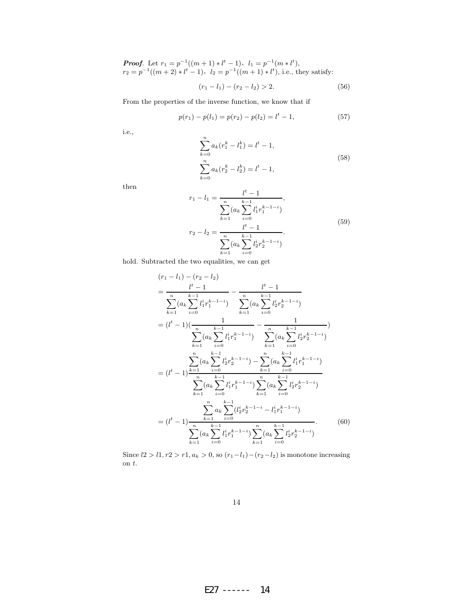**Proof.** Let  $r_1 = p^{-1}((m+1) * l^t - 1), l_1 = p^{-1}(m * l^t),$  $r_2 = p^{-1}((m+2)*l^t - 1), l_2 = p^{-1}((m+1)*l^t),$  i.e., they satisfy:

$$
(r_1 - l_1) - (r_2 - l_2) > 2.
$$
 (56)

From the properties of the inverse function, we know that if

$$
p(r_1) - p(l_1) = p(r_2) - p(l_2) = l^t - 1,
$$
\n(57)

i.e.,

$$
\sum_{k=0}^{n} a_k (r_1^k - l_1^k) = l^t - 1,
$$
  

$$
\sum_{k=0}^{n} a_k (r_2^k - l_2^k) = l^t - 1,
$$
 (58)

then

$$
r_1 - l_1 = \frac{l^t - 1}{\sum_{k=1}^n (a_k \sum_{i=0}^{k-1} l_1^i r_1^{k-1-i})},
$$
  
\n
$$
r_2 - l_2 = \frac{l^t - 1}{\sum_{k=1}^n (a_k \sum_{i=0}^{k-1} l_2^i r_2^{k-1-i})}.
$$
\n(59)

hold. Subtracted the two equalities, we can get

$$
(r_{1} - l_{1}) - (r_{2} - l_{2})
$$
\n
$$
= \frac{l^{t} - 1}{\sum_{k=1}^{n} (a_{k} \sum_{i=0}^{k-1} l_{1}^{i} r_{1}^{k-1-i})} - \frac{l^{t} - 1}{\sum_{k=1}^{n} (a_{k} \sum_{i=0}^{k-1} l_{2}^{i} r_{2}^{k-1-i})}
$$
\n
$$
= (l^{t} - 1)(\frac{1}{\sum_{k=1}^{n} (a_{k} \sum_{i=0}^{k-1} l_{1}^{i} r_{1}^{k-1-i})} - \frac{1}{\sum_{k=1}^{n} (a_{k} \sum_{i=0}^{k-1} l_{2}^{i} r_{2}^{k-1-i})})
$$
\n
$$
= (l^{t} - 1)^{\sum_{k=1}^{n} (a_{k} \sum_{i=0}^{k-1} l_{2}^{i} r_{2}^{k-1-i})} - \sum_{k=1}^{n} (a_{k} \sum_{i=0}^{k-1} l_{1}^{i} r_{1}^{k-1-i})
$$
\n
$$
\sum_{k=1}^{n} (a_{k} \sum_{i=0}^{k-1} l_{1}^{i} r_{1}^{k-1-i}) \sum_{k=1}^{n} (a_{k} \sum_{i=0}^{k-1} l_{2}^{i} r_{2}^{k-1-i})
$$
\n
$$
= (l^{t} - 1) \frac{\sum_{k=1}^{n} a_{k} \sum_{i=0}^{k-1} (l_{2}^{i} r_{2}^{k-1-i} - l_{1}^{i} r_{1}^{k-1-i})}{\sum_{k=1}^{n} (a_{k} \sum_{i=0}^{k-1} l_{1}^{i} r_{1}^{k-1-i}) \sum_{k=1}^{n} (a_{k} \sum_{i=0}^{k-1} l_{2}^{i} r_{2}^{k-1-i})}.
$$
\n(60)

Since  $l2 > l1, r2 > r1, a_k > 0$ , so  $(r_1 - l_1) - (r_2 - l_2)$  is monotone increasing on t.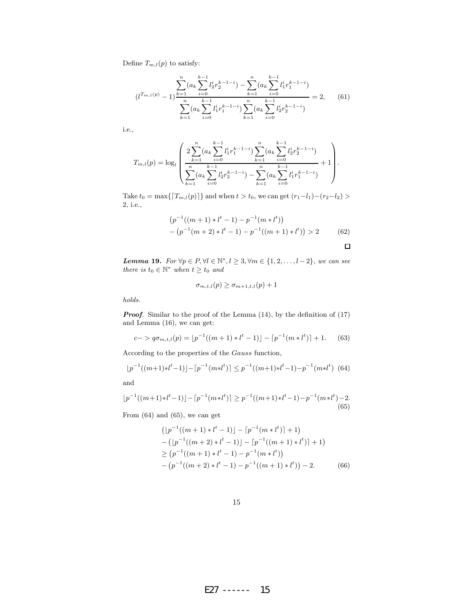Define  $T_{m,l}(p)$  to satisfy:

$$
(l^{T_{m,l}(p)} - 1) \frac{\sum_{k=1}^{n} (a_k \sum_{i=0}^{k-1} l_2^{i} r_2^{k-1-i}) - \sum_{k=1}^{n} (a_k \sum_{i=0}^{k-1} l_1^{i} r_1^{k-1-i})}{\sum_{k=1}^{n} (a_k \sum_{i=0}^{k-1} l_1^{i} r_1^{k-1-i}) \sum_{k=1}^{n} (a_k \sum_{i=0}^{k-1} l_2^{i} r_2^{k-1-i})} = 2,
$$
(61)

i.e.,

$$
T_{m,l}(p) = \log_l \left( \frac{2 \sum_{k=1}^n (a_k \sum_{i=0}^{k-1} l_1^i r_1^{k-1-i}) \sum_{k=1}^n (a_k \sum_{i=0}^{k-1} l_2^i r_2^{k-1-i})}{\sum_{k=1}^n (a_k \sum_{i=0}^{k-1} l_2^i r_2^{k-1-i}) - \sum_{k=1}^n (a_k \sum_{i=0}^{k-1} l_1^i r_1^{k-1-i})} + 1 \right).
$$

Take  $t_0 = \max\{[T_{m,l}(p)]\}$  and when  $t > t_0$ , we can get  $(r_1 - l_1) - (r_2 - l_2)$ 2, i.e.,

$$
(p^{-1}((m+1)*l^t - 1) - p^{-1}(m * l^t))
$$
  
-(p<sup>-1</sup>(m+2)\*l<sup>t</sup> - 1) - p<sup>-1</sup>((m+1)\*l<sup>t</sup>)) > 2 (62)

 $\Box$ 

**Lemma 19.** For  $\forall p \in P, \forall l \in \mathbb{N}^*, l \geq 3, \forall m \in \{1, 2, \ldots, l-2\},$  we can see there is  $t_0 \in \mathbb{N}^*$  when  $t \geq t_0$  and

$$
\sigma_{m,t,l}(p) \ge \sigma_{m+1,t,l}(p) + 1
$$

holds.

Proof. Similar to the proof of the Lemma  $(14)$ , by the definition of  $(17)$ and Lemma (16), we can get:

$$
c-> q\sigma_{m,t,l}(p) = \lfloor p^{-1}((m+1)*l^t - 1)\rfloor - \lceil p^{-1}(m* l^t)\rceil + 1. \tag{63}
$$

According to the properties of the Gauss function,

$$
\lfloor p^{-1}((m+1)*l^t - 1) \rfloor - \lceil p^{-1}(m*l^t) \rceil \le p^{-1}((m+1)*l^t - 1) - p^{-1}(m*l^t) \tag{64}
$$

and

$$
\lfloor p^{-1}((m+1)*l^t-1)\rfloor - \lceil p^{-1}(m*l^t)\rceil \ge p^{-1}((m+1)*l^t-1) - p^{-1}(m*l^t) - 2.
$$
\n(65)

From (64) and (65), we can get

$$
([p^{-1}((m+1) * l^t - 1)] - [p^{-1}(m * l^t)] + 1)
$$
  
– 
$$
([p^{-1}((m+2) * l^t - 1)] - [p^{-1}((m+1) * l^t)] + 1)
$$
  
≥ 
$$
(p^{-1}((m+1) * l^t - 1) - p^{-1}(m * l^t))
$$
  
– 
$$
(p^{-1}((m+2) * l^t - 1) - p^{-1}((m+1) * l^t)) - 2.
$$
 (66)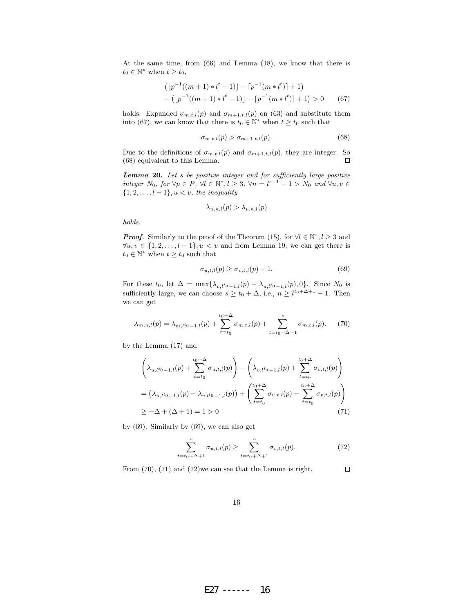At the same time, from (66) and Lemma (18), we know that there is  $t_0 \in \mathbb{N}^*$  when  $t \geq t_0$ ,

$$
([p^{-1}((m+1)*l^t - 1)] - [p^{-1}(m * l^t)] + 1)
$$
  
- 
$$
([p^{-1}((m+1)*l^t - 1)] - [p^{-1}(m * l^t)] + 1) > 0
$$
 (67)

holds. Expanded  $\sigma_{m,t,l}(p)$  and  $\sigma_{m+1,t,l}(p)$  on (63) and substitute them into (67), we can know that there is  $t_0 \in \mathbb{N}^*$  when  $t \geq t_0$  such that

$$
\sigma_{m,t,l}(p) > \sigma_{m+1,t,l}(p). \tag{68}
$$

Due to the definitions of  $\sigma_{m,t,l}(p)$  and  $\sigma_{m+1,t,l}(p)$ , they are integer. So  $\Box$ (68) equivalent to this Lemma.

Lemma 20. Let s be positive integer and for sufficiently large positive integer  $N_0$ , for  $\forall p \in P$ ,  $\forall l \in \mathbb{N}^*, l \geq 3$ ,  $\forall n = l^{s+1} - 1 > N_0$  and  $\forall u, v \in \mathbb{N}^*$  $\{1, 2, \ldots, l-1\}, u < v$ , the inequality

$$
\lambda_{u,n,l}(p) > \lambda_{v,n,l}(p)
$$

holds.

**Proof.** Similarly to the proof of the Theorem (15), for  $\forall l \in \mathbb{N}^*, l \geq 3$  and  $\forall u, v \in \{1, 2, \ldots, l-1\}, u < v \text{ and from Lemma 19, we can get there is }$  $t_0 \in \mathbb{N}^*$  when  $t \geq t_0$  such that

$$
\sigma_{u,t,l}(p) \ge \sigma_{v,t,l}(p) + 1.
$$
\n(69)

For these  $t_0$ , let  $\Delta = \max{\{\lambda_{v,l_{0}}-1,l(p)-\lambda_{u,l_{0}}-1,l(p),0\}}$ . Since  $N_0$  is sufficiently large, we can choose  $s \ge t_0 + \Delta$ , i.e.,  $n \ge l^{t_0 + \Delta + 1} - 1$ . Then we can get

$$
\lambda_{m,n,l}(p) = \lambda_{m,l} t_{0-1,l}(p) + \sum_{t=t_0}^{t_0+\Delta} \sigma_{m,t,l}(p) + \sum_{t=t_0+\Delta+1}^{s} \sigma_{m,t,l}(p).
$$
 (70)

by the Lemma (17) and

$$
\left(\lambda_{u,l^{t_0}-1,l}(p) + \sum_{t=t_0}^{t_0+\Delta} \sigma_{u,t,l}(p)\right) - \left(\lambda_{v,l^{t_0}-1,l}(p) + \sum_{t=t_0}^{t_0+\Delta} \sigma_{v,t,l}(p)\right)
$$
\n
$$
= \left(\lambda_{u,l^{t_0}-1,l}(p) - \lambda_{v,l^{t_0}-1,l}(p)\right) + \left(\sum_{t=t_0}^{t_0+\Delta} \sigma_{u,t,l}(p) - \sum_{t=t_0}^{t_0+\Delta} \sigma_{v,t,l}(p)\right)
$$
\n
$$
\geq -\Delta + (\Delta + 1) = 1 > 0
$$
\n(71)

by (69). Similarly by (69), we can also get

$$
\sum_{t=t_0+\Delta+1}^{s} \sigma_{u,t,l}(p) \ge \sum_{t=t_0+\Delta+1}^{s} \sigma_{v,t,l}(p). \tag{72}
$$

From (70), (71) and (72)we can see that the Lemma is right.  $\Box$